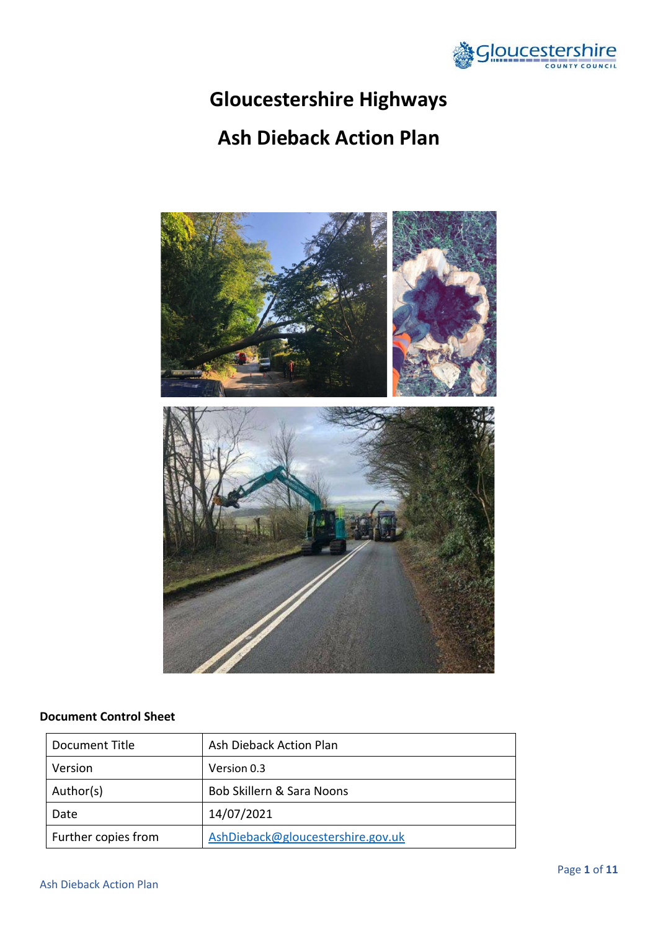

# **Gloucestershire Highways**

# **Ash Dieback Action Plan**



# **Document Control Sheet**

| Document Title      | Ash Dieback Action Plan           |
|---------------------|-----------------------------------|
| Version             | Version 0.3                       |
| Author(s)           | Bob Skillern & Sara Noons         |
| Date                | 14/07/2021                        |
| Further copies from | AshDieback@gloucestershire.gov.uk |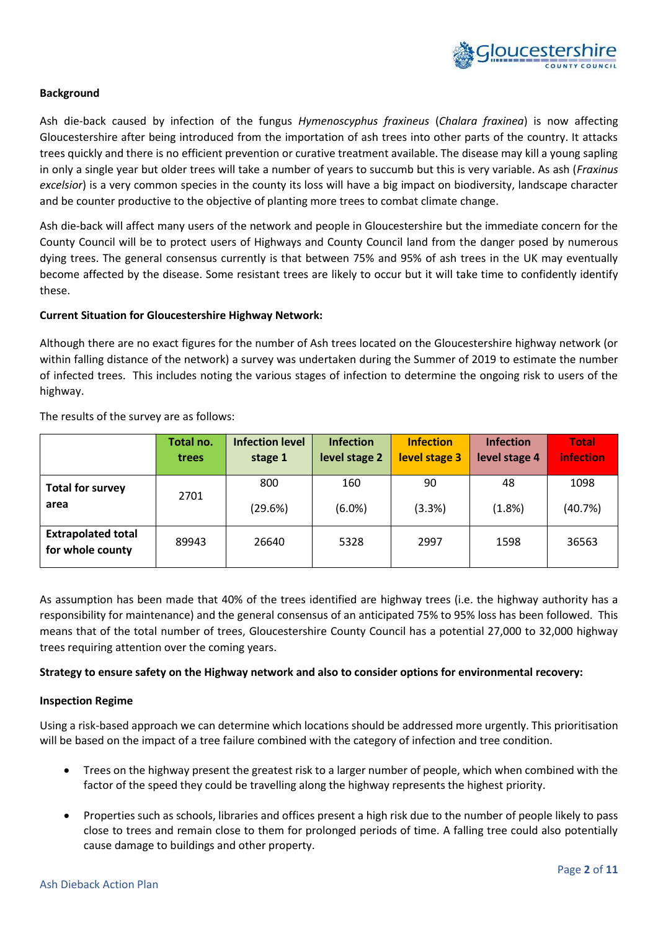

#### **Background**

Ash die-back caused by infection of the fungus *Hymenoscyphus fraxineus* (*Chalara fraxinea*) is now affecting Gloucestershire after being introduced from the importation of ash trees into other parts of the country. It attacks trees quickly and there is no efficient prevention or curative treatment available. The disease may kill a young sapling in only a single year but older trees will take a number of years to succumb but this is very variable. As ash (*Fraxinus excelsior*) is a very common species in the county its loss will have a big impact on biodiversity, landscape character and be counter productive to the objective of planting more trees to combat climate change.

Ash die-back will affect many users of the network and people in Gloucestershire but the immediate concern for the County Council will be to protect users of Highways and County Council land from the danger posed by numerous dying trees. The general consensus currently is that between 75% and 95% of ash trees in the UK may eventually become affected by the disease. Some resistant trees are likely to occur but it will take time to confidently identify these.

#### **Current Situation for Gloucestershire Highway Network:**

Although there are no exact figures for the number of Ash trees located on the Gloucestershire highway network (or within falling distance of the network) a survey was undertaken during the Summer of 2019 to estimate the number of infected trees. This includes noting the various stages of infection to determine the ongoing risk to users of the highway.

|                                               | Total no. | <b>Infection level</b> | <b>Infection</b> | <b>Infection</b> | <b>Infection</b> | <b>Total</b> |
|-----------------------------------------------|-----------|------------------------|------------------|------------------|------------------|--------------|
|                                               | trees     | stage 1                | level stage 2    | level stage 3    | level stage 4    | infection    |
| <b>Total for survey</b>                       | 2701      | 800                    | 160              | 90               | 48               | 1098         |
| area                                          |           | (29.6%)                | $(6.0\%)$        | (3.3%)           | (1.8%)           | (40.7%)      |
| <b>Extrapolated total</b><br>for whole county | 89943     | 26640                  | 5328             | 2997             | 1598             | 36563        |

The results of the survey are as follows:

As assumption has been made that 40% of the trees identified are highway trees (i.e. the highway authority has a responsibility for maintenance) and the general consensus of an anticipated 75% to 95% loss has been followed. This means that of the total number of trees, Gloucestershire County Council has a potential 27,000 to 32,000 highway trees requiring attention over the coming years.

#### **Strategy to ensure safety on the Highway network and also to consider options for environmental recovery:**

#### **Inspection Regime**

Using a risk-based approach we can determine which locations should be addressed more urgently. This prioritisation will be based on the impact of a tree failure combined with the category of infection and tree condition.

- Trees on the highway present the greatest risk to a larger number of people, which when combined with the factor of the speed they could be travelling along the highway represents the highest priority.
- Properties such as schools, libraries and offices present a high risk due to the number of people likely to pass close to trees and remain close to them for prolonged periods of time. A falling tree could also potentially cause damage to buildings and other property.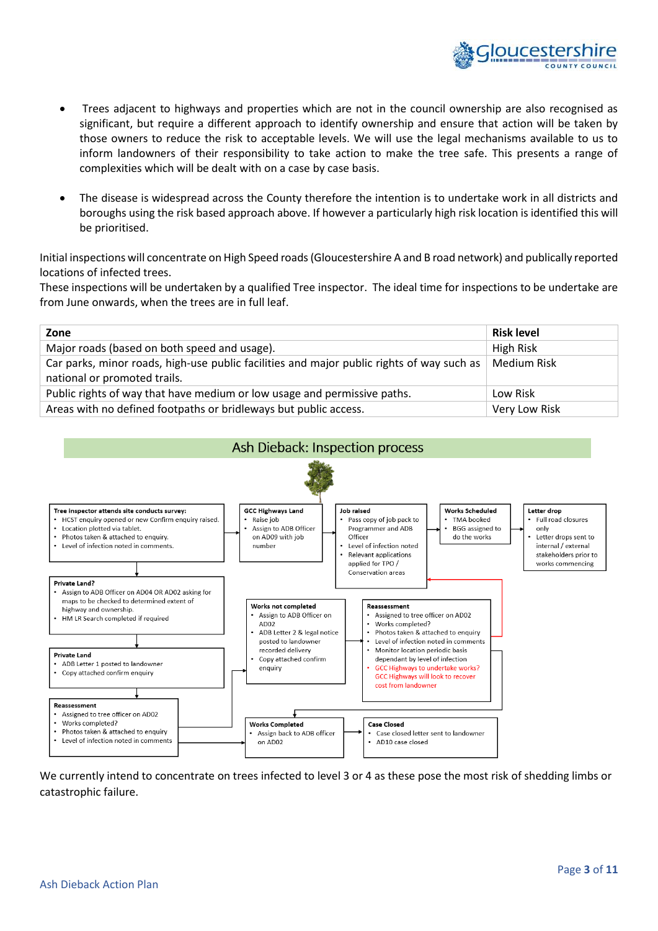

- Trees adjacent to highways and properties which are not in the council ownership are also recognised as significant, but require a different approach to identify ownership and ensure that action will be taken by those owners to reduce the risk to acceptable levels. We will use the legal mechanisms available to us to inform landowners of their responsibility to take action to make the tree safe. This presents a range of complexities which will be dealt with on a case by case basis.
- The disease is widespread across the County therefore the intention is to undertake work in all districts and boroughs using the risk based approach above. If however a particularly high risk location is identified this will be prioritised.

Initial inspections will concentrate on High Speed roads (Gloucestershire A and B road network) and publically reported locations of infected trees.

These inspections will be undertaken by a qualified Tree inspector. The ideal time for inspections to be undertake are from June onwards, when the trees are in full leaf.

| Zone                                                                                                                      | <b>Risk level</b> |
|---------------------------------------------------------------------------------------------------------------------------|-------------------|
| Major roads (based on both speed and usage).                                                                              | High Risk         |
| Car parks, minor roads, high-use public facilities and major public rights of way such as<br>national or promoted trails. | Medium Risk       |
| Public rights of way that have medium or low usage and permissive paths.                                                  | Low Risk          |
| Areas with no defined footpaths or bridleways but public access.                                                          | Very Low Risk     |



We currently intend to concentrate on trees infected to level 3 or 4 as these pose the most risk of shedding limbs or catastrophic failure.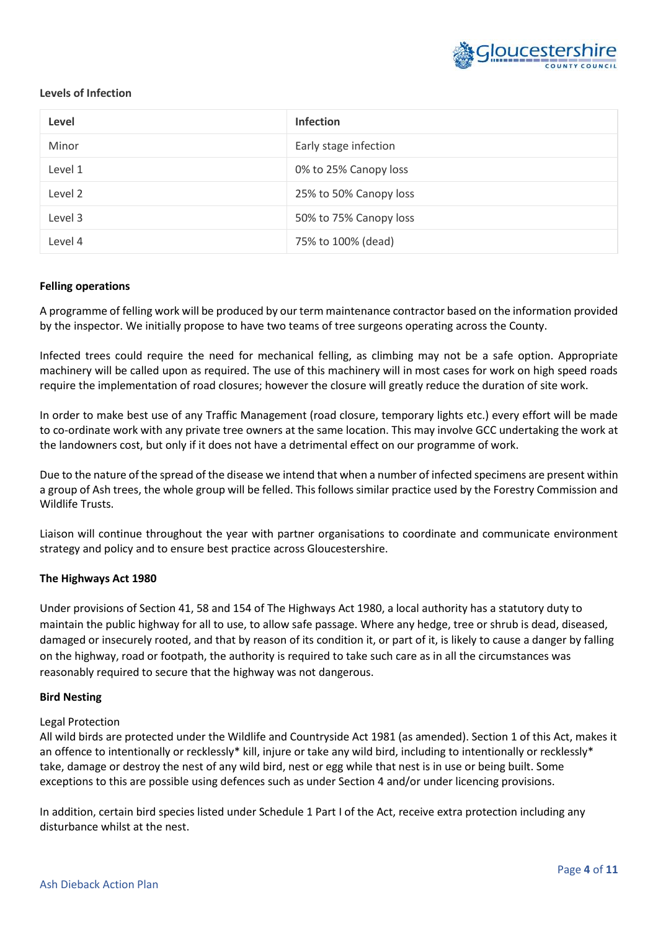

#### **Levels of Infection**

| Level   | <b>Infection</b>       |
|---------|------------------------|
| Minor   | Early stage infection  |
| Level 1 | 0% to 25% Canopy loss  |
| Level 2 | 25% to 50% Canopy loss |
| Level 3 | 50% to 75% Canopy loss |
| Level 4 | 75% to 100% (dead)     |

#### **Felling operations**

A programme of felling work will be produced by our term maintenance contractor based on the information provided by the inspector. We initially propose to have two teams of tree surgeons operating across the County.

Infected trees could require the need for mechanical felling, as climbing may not be a safe option. Appropriate machinery will be called upon as required. The use of this machinery will in most cases for work on high speed roads require the implementation of road closures; however the closure will greatly reduce the duration of site work.

In order to make best use of any Traffic Management (road closure, temporary lights etc.) every effort will be made to co-ordinate work with any private tree owners at the same location. This may involve GCC undertaking the work at the landowners cost, but only if it does not have a detrimental effect on our programme of work.

Due to the nature of the spread of the disease we intend that when a number of infected specimens are present within a group of Ash trees, the whole group will be felled. This follows similar practice used by the Forestry Commission and Wildlife Trusts.

Liaison will continue throughout the year with partner organisations to coordinate and communicate environment strategy and policy and to ensure best practice across Gloucestershire.

#### **The Highways Act 1980**

Under provisions of Section 41, 58 and 154 of The Highways Act 1980, a local authority has a statutory duty to maintain the public highway for all to use, to allow safe passage. Where any hedge, tree or shrub is dead, diseased, damaged or insecurely rooted, and that by reason of its condition it, or part of it, is likely to cause a danger by falling on the highway, road or footpath, the authority is required to take such care as in all the circumstances was reasonably required to secure that the highway was not dangerous.

#### **Bird Nesting**

#### Legal Protection

All wild birds are protected under the Wildlife and Countryside Act 1981 (as amended). Section 1 of this Act, makes it an offence to intentionally or recklessly\* kill, injure or take any wild bird, including to intentionally or recklessly\* take, damage or destroy the nest of any wild bird, nest or egg while that nest is in use or being built. Some exceptions to this are possible using defences such as under Section 4 and/or under licencing provisions.

In addition, certain bird species listed under Schedule 1 Part I of the Act, receive extra protection including any disturbance whilst at the nest.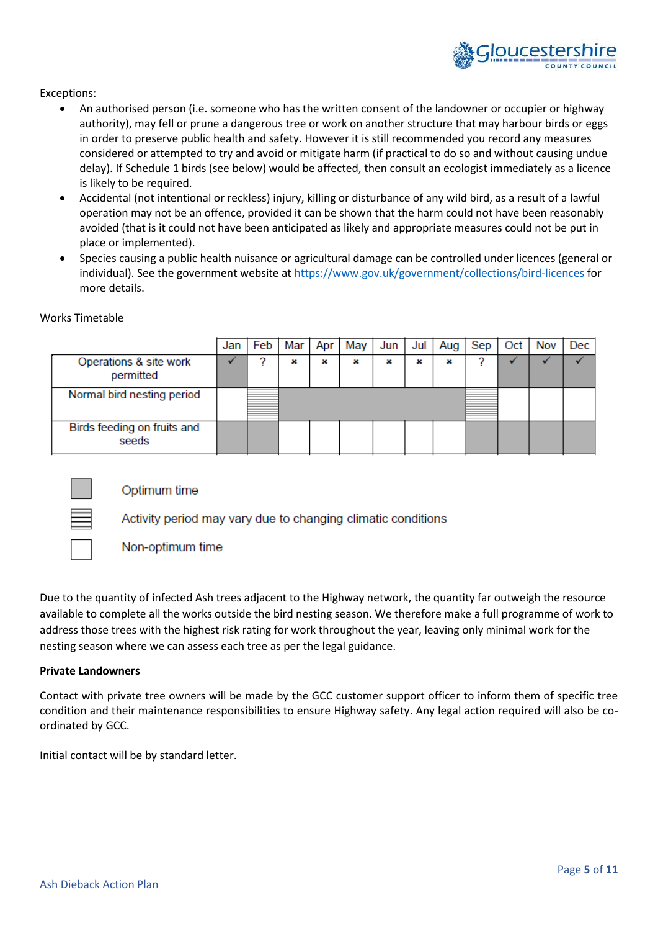

#### Exceptions:

- An authorised person (i.e. someone who has the written consent of the landowner or occupier or highway authority), may fell or prune a dangerous tree or work on another structure that may harbour birds or eggs in order to preserve public health and safety. However it is still recommended you record any measures considered or attempted to try and avoid or mitigate harm (if practical to do so and without causing undue delay). If Schedule 1 birds (see below) would be affected, then consult an ecologist immediately as a licence is likely to be required.
- Accidental (not intentional or reckless) injury, killing or disturbance of any wild bird, as a result of a lawful operation may not be an offence, provided it can be shown that the harm could not have been reasonably avoided (that is it could not have been anticipated as likely and appropriate measures could not be put in place or implemented).
- Species causing a public health nuisance or agricultural damage can be controlled under licences (general or individual). See the government website at<https://www.gov.uk/government/collections/bird-licences> for more details.

|                                      | Jar | Feb | Mar | Apr | May | Jun | Jul | Aug | Sep | Oct | Nov | Dec |
|--------------------------------------|-----|-----|-----|-----|-----|-----|-----|-----|-----|-----|-----|-----|
| Operations & site work<br>permitted  |     |     | x   | ×   | x   | ×   | ×   | ×   |     |     |     |     |
| Normal bird nesting period           |     |     |     |     |     |     |     |     |     |     |     |     |
| Birds feeding on fruits and<br>seeds |     |     |     |     |     |     |     |     |     |     |     |     |

#### Works Timetable



Optimum time

Activity period may vary due to changing climatic conditions

Non-optimum time

Due to the quantity of infected Ash trees adjacent to the Highway network, the quantity far outweigh the resource available to complete all the works outside the bird nesting season. We therefore make a full programme of work to address those trees with the highest risk rating for work throughout the year, leaving only minimal work for the nesting season where we can assess each tree as per the legal guidance.

#### **Private Landowners**

Contact with private tree owners will be made by the GCC customer support officer to inform them of specific tree condition and their maintenance responsibilities to ensure Highway safety. Any legal action required will also be coordinated by GCC.

Initial contact will be by standard letter.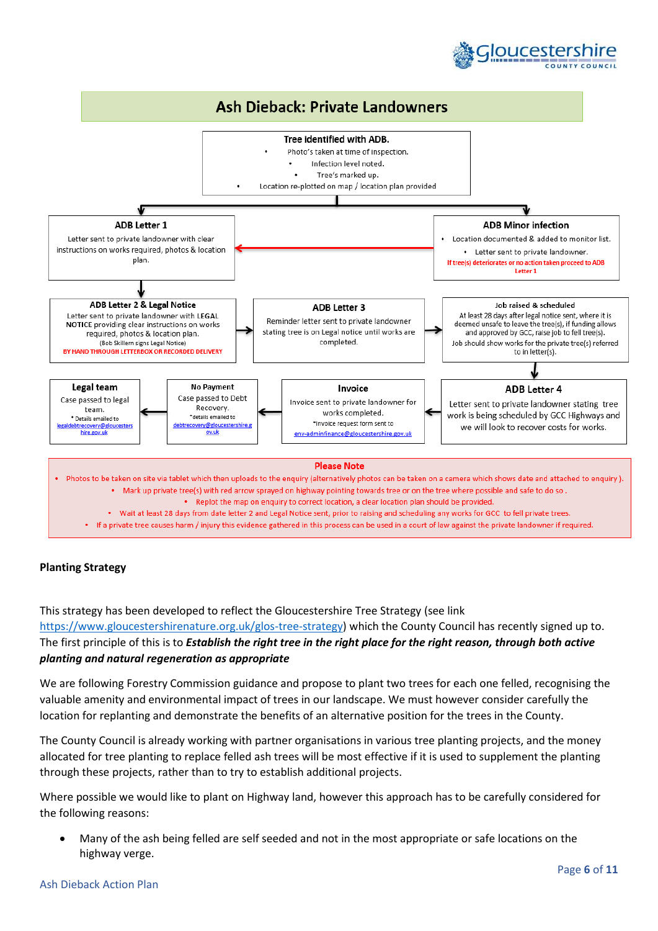



### **Planting Strategy**

This strategy has been developed to reflect the Gloucestershire Tree Strategy (see link [https://www.gloucestershirenature.org.uk/glos-tree-strategy\)](https://www.gloucestershirenature.org.uk/glos-tree-strategy) which the County Council has recently signed up to. The first principle of this is to *Establish the right tree in the right place for the right reason, through both active planting and natural regeneration as appropriate*

We are following Forestry Commission guidance and propose to plant two trees for each one felled, recognising the valuable amenity and environmental impact of trees in our landscape. We must however consider carefully the location for replanting and demonstrate the benefits of an alternative position for the trees in the County.

The County Council is already working with partner organisations in various tree planting projects, and the money allocated for tree planting to replace felled ash trees will be most effective if it is used to supplement the planting through these projects, rather than to try to establish additional projects.

Where possible we would like to plant on Highway land, however this approach has to be carefully considered for the following reasons:

• Many of the ash being felled are self seeded and not in the most appropriate or safe locations on the highway verge.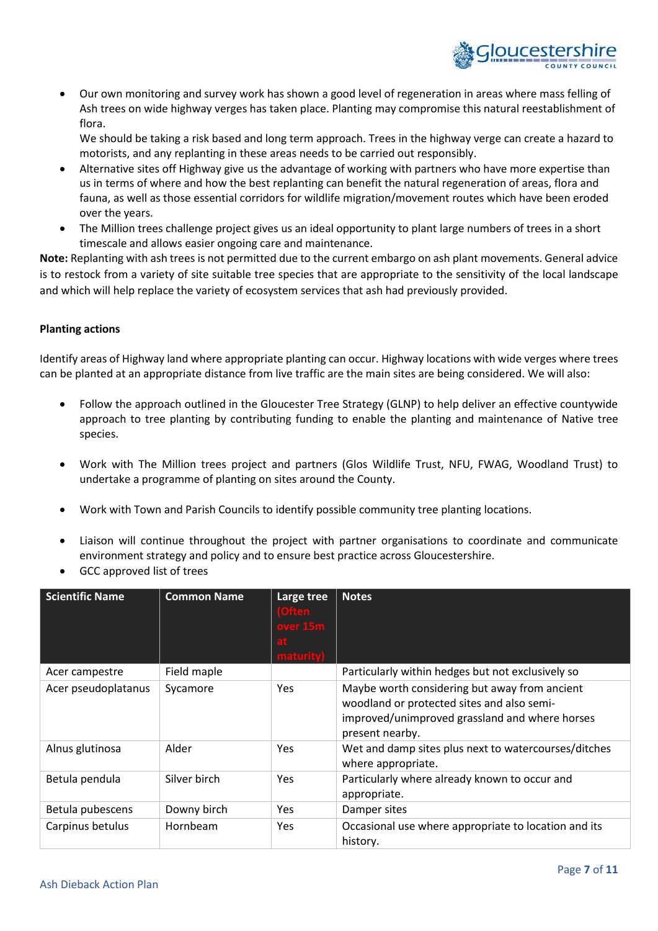

• Our own monitoring and survey work has shown a good level of regeneration in areas where mass felling of Ash trees on wide highway verges has taken place. Planting may compromise this natural reestablishment of flora.

We should be taking a risk based and long term approach. Trees in the highway verge can create a hazard to motorists, and any replanting in these areas needs to be carried out responsibly.

- Alternative sites off Highway give us the advantage of working with partners who have more expertise than us in terms of where and how the best replanting can benefit the natural regeneration of areas, flora and fauna, as well as those essential corridors for wildlife migration/movement routes which have been eroded over the years.
- The Million trees challenge project gives us an ideal opportunity to plant large numbers of trees in a short timescale and allows easier ongoing care and maintenance.

**Note:** Replanting with ash trees is not permitted due to the current embargo on ash plant movements. General advice is to restock from a variety of site suitable tree species that are appropriate to the sensitivity of the local landscape and which will help replace the variety of ecosystem services that ash had previously provided.

### **Planting actions**

Identify areas of Highway land where appropriate planting can occur. Highway locations with wide verges where trees can be planted at an appropriate distance from live traffic are the main sites are being considered. We will also:

- Follow the approach outlined in the Gloucester Tree Strategy (GLNP) to help deliver an effective countywide approach to tree planting by contributing funding to enable the planting and maintenance of Native tree species.
- Work with The Million trees project and partners (Glos Wildlife Trust, NFU, FWAG, Woodland Trust) to undertake a programme of planting on sites around the County.
- Work with Town and Parish Councils to identify possible community tree planting locations.
- Liaison will continue throughout the project with partner organisations to coordinate and communicate environment strategy and policy and to ensure best practice across Gloucestershire.
- GCC approved list of trees

| <b>Scientific Name</b> | <b>Common Name</b> | Large tree<br>(Often<br>over 15m<br>maturity | <b>Notes</b>                                                                                                                                                     |
|------------------------|--------------------|----------------------------------------------|------------------------------------------------------------------------------------------------------------------------------------------------------------------|
| Acer campestre         | Field maple        |                                              | Particularly within hedges but not exclusively so                                                                                                                |
| Acer pseudoplatanus    | Sycamore           | Yes                                          | Maybe worth considering but away from ancient<br>woodland or protected sites and also semi-<br>improved/unimproved grassland and where horses<br>present nearby. |
| Alnus glutinosa        | Alder              | Yes                                          | Wet and damp sites plus next to watercourses/ditches<br>where appropriate.                                                                                       |
| Betula pendula         | Silver birch       | Yes                                          | Particularly where already known to occur and<br>appropriate.                                                                                                    |
| Betula pubescens       | Downy birch        | <b>Yes</b>                                   | Damper sites                                                                                                                                                     |
| Carpinus betulus       | Hornbeam           | Yes                                          | Occasional use where appropriate to location and its<br>history.                                                                                                 |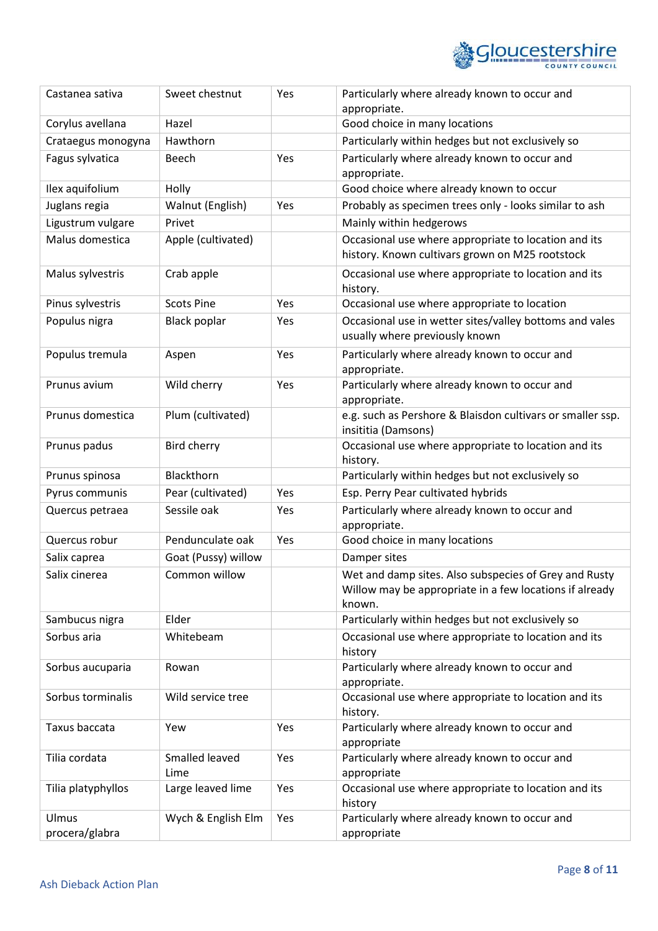

| Castanea sativa         | Sweet chestnut         | Yes | Particularly where already known to occur and                                                                              |
|-------------------------|------------------------|-----|----------------------------------------------------------------------------------------------------------------------------|
| Corylus avellana        | Hazel                  |     | appropriate.<br>Good choice in many locations                                                                              |
|                         | Hawthorn               |     |                                                                                                                            |
| Crataegus monogyna      |                        |     | Particularly within hedges but not exclusively so                                                                          |
| Fagus sylvatica         | Beech                  | Yes | Particularly where already known to occur and<br>appropriate.                                                              |
| Ilex aquifolium         | Holly                  |     | Good choice where already known to occur                                                                                   |
| Juglans regia           | Walnut (English)       | Yes | Probably as specimen trees only - looks similar to ash                                                                     |
| Ligustrum vulgare       | Privet                 |     | Mainly within hedgerows                                                                                                    |
| Malus domestica         | Apple (cultivated)     |     | Occasional use where appropriate to location and its<br>history. Known cultivars grown on M25 rootstock                    |
| Malus sylvestris        | Crab apple             |     | Occasional use where appropriate to location and its<br>history.                                                           |
| Pinus sylvestris        | <b>Scots Pine</b>      | Yes | Occasional use where appropriate to location                                                                               |
| Populus nigra           | <b>Black poplar</b>    | Yes | Occasional use in wetter sites/valley bottoms and vales<br>usually where previously known                                  |
| Populus tremula         | Aspen                  | Yes | Particularly where already known to occur and<br>appropriate.                                                              |
| Prunus avium            | Wild cherry            | Yes | Particularly where already known to occur and<br>appropriate.                                                              |
| Prunus domestica        | Plum (cultivated)      |     | e.g. such as Pershore & Blaisdon cultivars or smaller ssp.<br>insititia (Damsons)                                          |
| Prunus padus            | Bird cherry            |     | Occasional use where appropriate to location and its<br>history.                                                           |
| Prunus spinosa          | Blackthorn             |     | Particularly within hedges but not exclusively so                                                                          |
| Pyrus communis          | Pear (cultivated)      | Yes | Esp. Perry Pear cultivated hybrids                                                                                         |
| Quercus petraea         | Sessile oak            | Yes | Particularly where already known to occur and<br>appropriate.                                                              |
| Quercus robur           | Pendunculate oak       | Yes | Good choice in many locations                                                                                              |
| Salix caprea            | Goat (Pussy) willow    |     | Damper sites                                                                                                               |
| Salix cinerea           | Common willow          |     | Wet and damp sites. Also subspecies of Grey and Rusty<br>Willow may be appropriate in a few locations if already<br>known. |
| Sambucus nigra          | Elder                  |     | Particularly within hedges but not exclusively so                                                                          |
| Sorbus aria             | Whitebeam              |     | Occasional use where appropriate to location and its<br>history                                                            |
| Sorbus aucuparia        | Rowan                  |     | Particularly where already known to occur and<br>appropriate.                                                              |
| Sorbus torminalis       | Wild service tree      |     | Occasional use where appropriate to location and its<br>history.                                                           |
| Taxus baccata           | Yew                    | Yes | Particularly where already known to occur and<br>appropriate                                                               |
| Tilia cordata           | Smalled leaved<br>Lime | Yes | Particularly where already known to occur and<br>appropriate                                                               |
| Tilia platyphyllos      | Large leaved lime      | Yes | Occasional use where appropriate to location and its<br>history                                                            |
| Ulmus<br>procera/glabra | Wych & English Elm     | Yes | Particularly where already known to occur and<br>appropriate                                                               |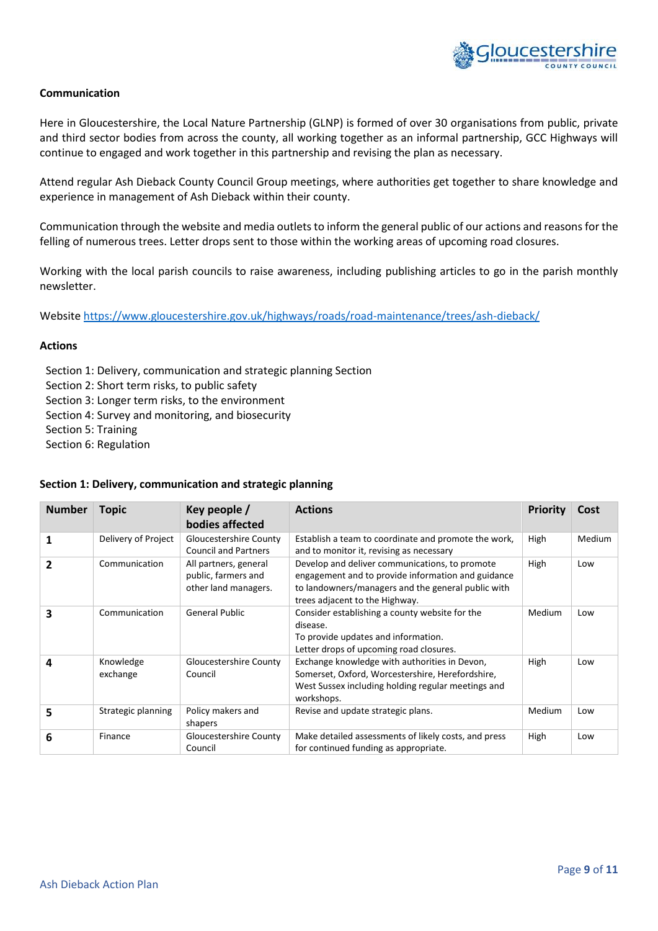

#### **Communication**

Here in Gloucestershire, the Local Nature Partnership (GLNP) is formed of over 30 organisations from public, private and third sector bodies from across the county, all working together as an informal partnership, GCC Highways will continue to engaged and work together in this partnership and revising the plan as necessary.

Attend regular Ash Dieback County Council Group meetings, where authorities get together to share knowledge and experience in management of Ash Dieback within their county.

Communication through the website and media outlets to inform the general public of our actions and reasons for the felling of numerous trees. Letter drops sent to those within the working areas of upcoming road closures.

Working with the local parish councils to raise awareness, including publishing articles to go in the parish monthly newsletter.

Websit[e https://www.gloucestershire.gov.uk/highways/roads/road-maintenance/trees/ash-dieback/](https://www.gloucestershire.gov.uk/highways/roads/road-maintenance/trees/ash-dieback/)

#### **Actions**

Section 1: Delivery, communication and strategic planning Section

- Section 2: Short term risks, to public safety
- Section 3: Longer term risks, to the environment
- Section 4: Survey and monitoring, and biosecurity
- Section 5: Training
- Section 6: Regulation

#### **Section 1: Delivery, communication and strategic planning**

| <b>Number</b> | <b>Topic</b>          | Key people /<br>bodies affected                                      | <b>Actions</b>                                                                                                                                                                               | Priority | Cost   |
|---------------|-----------------------|----------------------------------------------------------------------|----------------------------------------------------------------------------------------------------------------------------------------------------------------------------------------------|----------|--------|
|               | Delivery of Project   | Gloucestershire County<br><b>Council and Partners</b>                | Establish a team to coordinate and promote the work,<br>and to monitor it, revising as necessary                                                                                             | High     | Medium |
| 2             | Communication         | All partners, general<br>public, farmers and<br>other land managers. | Develop and deliver communications, to promote<br>engagement and to provide information and guidance<br>to landowners/managers and the general public with<br>trees adjacent to the Highway. | High     | Low    |
| 3             | Communication         | <b>General Public</b>                                                | Consider establishing a county website for the<br>disease.<br>To provide updates and information.<br>Letter drops of upcoming road closures.                                                 | Medium   | Low    |
| 4             | Knowledge<br>exchange | Gloucestershire County<br>Council                                    | Exchange knowledge with authorities in Devon,<br>Somerset, Oxford, Worcestershire, Herefordshire,<br>West Sussex including holding regular meetings and<br>workshops.                        | High     | Low    |
| 5             | Strategic planning    | Policy makers and<br>shapers                                         | Revise and update strategic plans.                                                                                                                                                           | Medium   | Low    |
| 6             | Finance               | Gloucestershire County<br>Council                                    | Make detailed assessments of likely costs, and press<br>for continued funding as appropriate.                                                                                                | High     | Low    |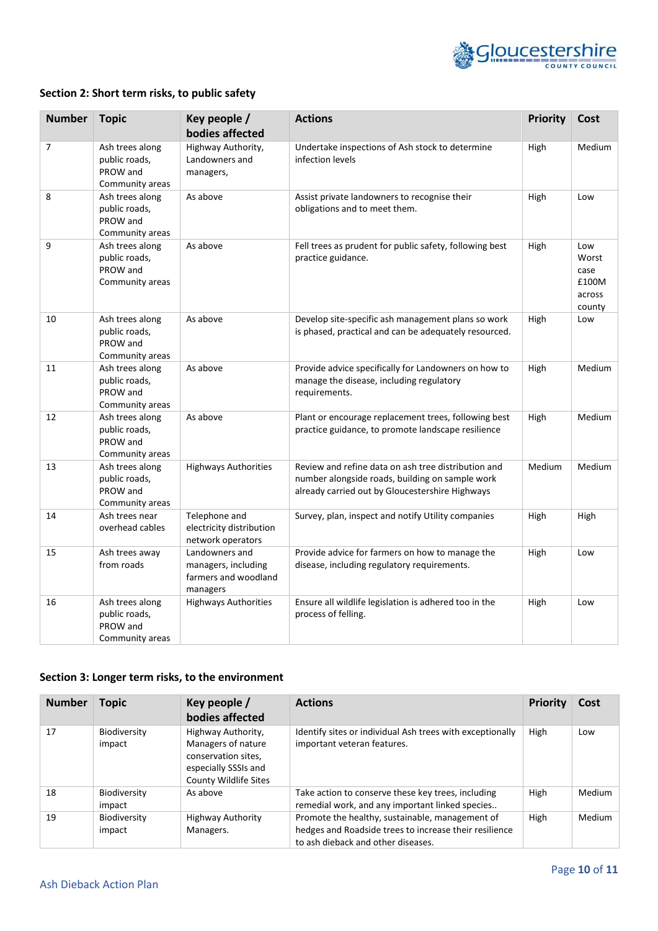

# **Section 2: Short term risks, to public safety**

| <b>Number</b> | <b>Topic</b>                                                    | Key people /<br>bodies affected                                           | <b>Actions</b>                                                                                                                                            | <b>Priority</b> | Cost                                              |
|---------------|-----------------------------------------------------------------|---------------------------------------------------------------------------|-----------------------------------------------------------------------------------------------------------------------------------------------------------|-----------------|---------------------------------------------------|
| 7             | Ash trees along<br>public roads,<br>PROW and<br>Community areas | Highway Authority,<br>Landowners and<br>managers,                         | Undertake inspections of Ash stock to determine<br>infection levels                                                                                       | High            | Medium                                            |
| 8             | Ash trees along<br>public roads,<br>PROW and<br>Community areas | As above                                                                  | Assist private landowners to recognise their<br>obligations and to meet them.                                                                             | High            | Low                                               |
| 9             | Ash trees along<br>public roads,<br>PROW and<br>Community areas | As above                                                                  | Fell trees as prudent for public safety, following best<br>practice guidance.                                                                             | High            | Low<br>Worst<br>case<br>£100M<br>across<br>county |
| 10            | Ash trees along<br>public roads,<br>PROW and<br>Community areas | As above                                                                  | Develop site-specific ash management plans so work<br>is phased, practical and can be adequately resourced.                                               | High            | Low                                               |
| 11            | Ash trees along<br>public roads,<br>PROW and<br>Community areas | As above                                                                  | Provide advice specifically for Landowners on how to<br>manage the disease, including regulatory<br>requirements.                                         | High            | Medium                                            |
| 12            | Ash trees along<br>public roads,<br>PROW and<br>Community areas | As above                                                                  | Plant or encourage replacement trees, following best<br>practice guidance, to promote landscape resilience                                                | High            | Medium                                            |
| 13            | Ash trees along<br>public roads,<br>PROW and<br>Community areas | <b>Highways Authorities</b>                                               | Review and refine data on ash tree distribution and<br>number alongside roads, building on sample work<br>already carried out by Gloucestershire Highways | Medium          | Medium                                            |
| 14            | Ash trees near<br>overhead cables                               | Telephone and<br>electricity distribution<br>network operators            | Survey, plan, inspect and notify Utility companies                                                                                                        | High            | High                                              |
| 15            | Ash trees away<br>from roads                                    | Landowners and<br>managers, including<br>farmers and woodland<br>managers | Provide advice for farmers on how to manage the<br>disease, including regulatory requirements.                                                            | High            | Low                                               |
| 16            | Ash trees along<br>public roads,<br>PROW and<br>Community areas | <b>Highways Authorities</b>                                               | Ensure all wildlife legislation is adhered too in the<br>process of felling.                                                                              | High            | Low                                               |

# **Section 3: Longer term risks, to the environment**

| <b>Number</b> | <b>Topic</b>           | Key people /<br>bodies affected                                                                                  | <b>Actions</b>                                                                                                                                  | <b>Priority</b> | Cost   |
|---------------|------------------------|------------------------------------------------------------------------------------------------------------------|-------------------------------------------------------------------------------------------------------------------------------------------------|-----------------|--------|
| 17            | Biodiversity<br>impact | Highway Authority,<br>Managers of nature<br>conservation sites,<br>especially SSSIs and<br>County Wildlife Sites | Identify sites or individual Ash trees with exceptionally<br>important veteran features.                                                        | High            | Low    |
| 18            | Biodiversity<br>impact | As above                                                                                                         | Take action to conserve these key trees, including<br>remedial work, and any important linked species                                           | High            | Medium |
| 19            | Biodiversity<br>impact | <b>Highway Authority</b><br>Managers.                                                                            | Promote the healthy, sustainable, management of<br>hedges and Roadside trees to increase their resilience<br>to ash dieback and other diseases. | High            | Medium |